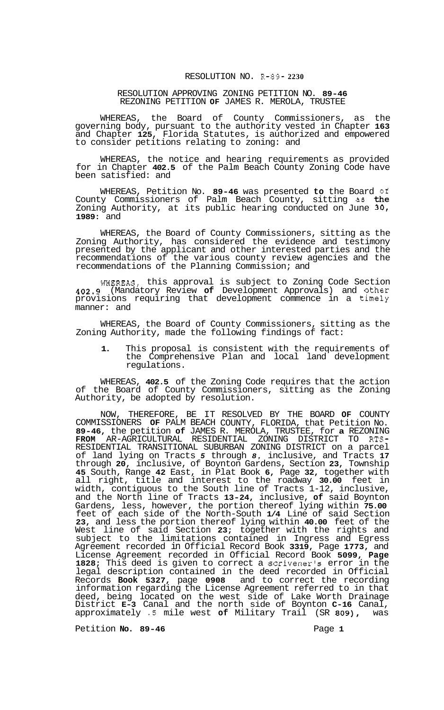## RESOLUTION NO. **R-89- 2230**

## RESOLUTION APPROVING ZONING PETITION NO. **89-46**  REZONING PETITION **OF** JAMES R. MEROLA, TRUSTEE

WHEREAS, the Board of County Commissioners, as the governing body, pursuant to the authority vested in Chapter **163**  and Chapter **125,** Florida Statutes, is authorized and empowered to consider petitions relating to zoning: and

WHEREAS, the notice and hearing requirements as provided for in Chapter **402.5** of the Palm Beach County Zoning Code have been satisfied: and

WHEREAS, Petition No. **89-46** was presented **to** the Board **of**  County Commissioners of Palm Beach County, sitting as the Zoning Authority, at its public hearing conducted on June **30, 1989:** and

WHEREAS, the Board of County Commissioners, sitting as the Zoning Authority, has considered the evidence and testimony presented by the applicant and other interested parties and the recommendations of the various county review agencies and the recommendations of the Planning Commission; and

WHEREAS, this approval is subject to Zoning Code Section **402.9** (Mandatory Review **of** Development Approvals) and other provisions requiring that development commence in a timely manner: and

WHEREAS, the Board of County Commissioners, sitting as the Zoning Authority, made the following findings of fact:

**1.** This proposal is consistent with the requirements of the Comprehensive Plan and local land development regulations.

WHEREAS, **402.5** of the Zoning Code requires that the action of the Board of County Commissioners, sitting as the Zoning Authority, be adopted by resolution.

NOW, THEREFORE, BE IT RESOLVED BY THE BOARD **OF** COUNTY COMMISSIONERS **OF** PALM BEACH COUNTY, FLORIDA, that Petition No. **89-46,** the petition **of** JAMES R. MEROLA, TRUSTEE, for **a** REZONING RESIDENTIAL TRANSITIONAL SUBURBAN ZONING DISTRICT on a parcel of land lying on Tracts *5* through *8,* inclusive, and Tracts **17**  through **20,** inclusive, of Boynton Gardens, Section **23,** Township **45** South, Range **42** East, in Plat Book **6,** Page **32,** together with all right, title and interest to the roadway **30.00** feet in width, contiguous to the South line of Tracts 1-12, inclusive, and the North line of Tracts **13-24,** inclusive, **of** said Boynton Gardens, less, however, the portion thereof lying within **75.00**  feet of each side of the North-South **1/4** Line of said Section **23,** and less the portion thereof lying within **40.00** feet of the West line of said Section **23;** together with the rights and subject to the limitations contained in Ingress and Egress Agreement recorded in Official Record Book **3319,** Page **1773,** and License Agreement recorded in Official Record Book **5099, Page 1828;** This deed is given to correct a scrivener's error in the legal description contained in the deed recorded in Official Records **Book 5327,** page **0908** and to correct the recording information regarding the License Agreement referred to in that deed, being located on the west side of Lake Worth Drainage District **E-3** Canal and the north side of Boynton **C-16** Canal, approximately *.5* mile west **of** Military Trail (SR **809),** was **FROM** AR-AGRICULTURAL RESIDENTIAL ZONING DISTRICT TO RTS-

Petition **No.** 89-46 **Page 1 Page 1**